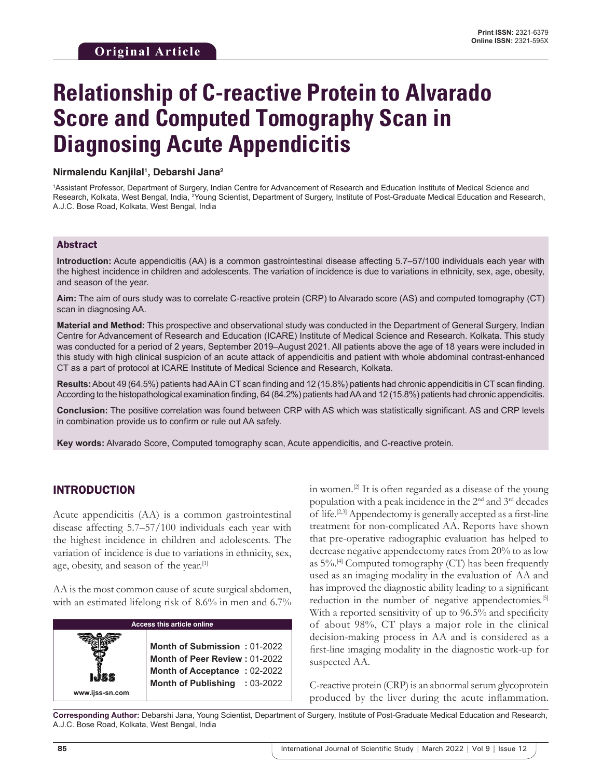# **Relationship of C-reactive Protein to Alvarado Score and Computed Tomography Scan in Diagnosing Acute Appendicitis**

#### **Nirmalendu Kanjilal1 , Debarshi Jana2**

1 Assistant Professor, Department of Surgery, Indian Centre for Advancement of Research and Education Institute of Medical Science and Research, Kolkata, West Bengal, India, <sup>2</sup>Young Scientist, Department of Surgery, Institute of Post-Graduate Medical Education and Research, A.J.C. Bose Road, Kolkata, West Bengal, India

#### Abstract

**Introduction:** Acute appendicitis (AA) is a common gastrointestinal disease affecting 5.7–57/100 individuals each year with the highest incidence in children and adolescents. The variation of incidence is due to variations in ethnicity, sex, age, obesity, and season of the year.

**Aim:** The aim of ours study was to correlate C-reactive protein (CRP) to Alvarado score (AS) and computed tomography (CT) scan in diagnosing AA.

**Material and Method:** This prospective and observational study was conducted in the Department of General Surgery, Indian Centre for Advancement of Research and Education (ICARE) Institute of Medical Science and Research. Kolkata. This study was conducted for a period of 2 years, September 2019–August 2021. All patients above the age of 18 years were included in this study with high clinical suspicion of an acute attack of appendicitis and patient with whole abdominal contrast-enhanced CT as a part of protocol at ICARE Institute of Medical Science and Research, Kolkata.

**Results:** About 49 (64.5%) patients had AA in CT scan finding and 12 (15.8%) patients had chronic appendicitis in CT scan finding. According to the histopathological examination finding, 64 (84.2%) patients had AA and 12 (15.8%) patients had chronic appendicitis.

**Conclusion:** The positive correlation was found between CRP with AS which was statistically significant. AS and CRP levels in combination provide us to confirm or rule out AA safely.

**Key words:** Alvarado Score, Computed tomography scan, Acute appendicitis, and C-reactive protein.

## INTRODUCTION

Acute appendicitis (AA) is a common gastrointestinal disease affecting 5.7–57/100 individuals each year with the highest incidence in children and adolescents. The variation of incidence is due to variations in ethnicity, sex, age, obesity, and season of the year.<sup>[1]</sup>

AA is the most common cause of acute surgical abdomen, with an estimated lifelong risk of 8.6% in men and 6.7%

| <b>Access this article online</b> |                                                                                                                                |  |  |  |
|-----------------------------------|--------------------------------------------------------------------------------------------------------------------------------|--|--|--|
| IJSS<br>www.ijss-sn.com           | Month of Submission: 01-2022<br>Month of Peer Review: 01-2022<br>Month of Acceptance: 02-2022<br>Month of Publishing : 03-2022 |  |  |  |

in women.<sup>[2]</sup> It is often regarded as a disease of the young population with a peak incidence in the 2nd and 3rd decades of life.[2,3] Appendectomy is generally accepted as a first-line treatment for non-complicated AA. Reports have shown that pre-operative radiographic evaluation has helped to decrease negative appendectomy rates from 20% to as low as  $5\%$ .<sup>[4]</sup> Computed tomography (CT) has been frequently used as an imaging modality in the evaluation of AA and has improved the diagnostic ability leading to a significant reduction in the number of negative appendectomies.<sup>[5]</sup> With a reported sensitivity of up to 96.5% and specificity of about 98%, CT plays a major role in the clinical decision-making process in AA and is considered as a first-line imaging modality in the diagnostic work-up for suspected AA.

C-reactive protein (CRP) is an abnormal serum glycoprotein produced by the liver during the acute inflammation.

**Corresponding Author:** Debarshi Jana, Young Scientist, Department of Surgery, Institute of Post-Graduate Medical Education and Research, A.J.C. Bose Road, Kolkata, West Bengal, India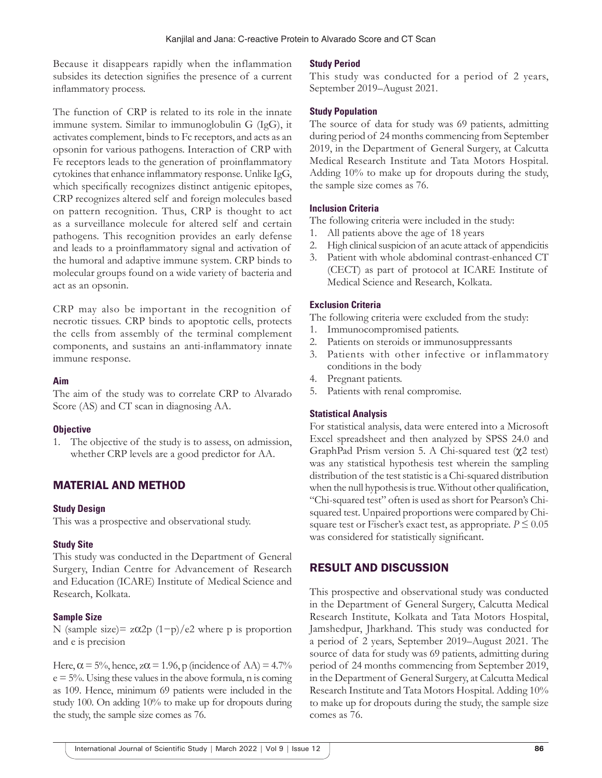Because it disappears rapidly when the inflammation subsides its detection signifies the presence of a current inflammatory process.

The function of CRP is related to its role in the innate immune system. Similar to immunoglobulin G (IgG), it activates complement, binds to Fc receptors, and acts as an opsonin for various pathogens. Interaction of CRP with Fe receptors leads to the generation of proinflammatory cytokines that enhance inflammatory response. Unlike IgG, which specifically recognizes distinct antigenic epitopes, CRP recognizes altered self and foreign molecules based on pattern recognition. Thus, CRP is thought to act as a surveillance molecule for altered self and certain pathogens. This recognition provides an early defense and leads to a proinflammatory signal and activation of the humoral and adaptive immune system. CRP binds to molecular groups found on a wide variety of bacteria and act as an opsonin.

CRP may also be important in the recognition of necrotic tissues. CRP binds to apoptotic cells, protects the cells from assembly of the terminal complement components, and sustains an anti-inflammatory innate immune response.

#### **Aim**

The aim of the study was to correlate CRP to Alvarado Score (AS) and CT scan in diagnosing AA.

## **Objective**

1. The objective of the study is to assess, on admission, whether CRP levels are a good predictor for AA.

# MATERIAL AND METHOD

#### **Study Design**

This was a prospective and observational study.

## **Study Site**

This study was conducted in the Department of General Surgery, Indian Centre for Advancement of Research and Education (ICARE) Institute of Medical Science and Research, Kolkata.

## **Sample Size**

N (sample size)=  $z\alpha2p(1-p)/e2$  where p is proportion and e is precision

Here,  $\alpha$  = 5%, hence,  $z\alpha$  = 1.96, p (incidence of AA) = 4.7%  $e = 5\%$ . Using these values in the above formula, n is coming as 109. Hence, minimum 69 patients were included in the study 100. On adding 10% to make up for dropouts during the study, the sample size comes as 76.

#### **Study Period**

This study was conducted for a period of 2 years, September 2019–August 2021.

## **Study Population**

The source of data for study was 69 patients, admitting during period of 24 months commencing from September 2019, in the Department of General Surgery, at Calcutta Medical Research Institute and Tata Motors Hospital. Adding 10% to make up for dropouts during the study, the sample size comes as 76.

## **Inclusion Criteria**

The following criteria were included in the study:

- 1. All patients above the age of 18 years
- 2. High clinical suspicion of an acute attack of appendicitis
- 3. Patient with whole abdominal contrast-enhanced CT (CECT) as part of protocol at ICARE Institute of Medical Science and Research, Kolkata.

## **Exclusion Criteria**

The following criteria were excluded from the study:

- 1. Immunocompromised patients.
- 2. Patients on steroids or immunosuppressants
- 3. Patients with other infective or inflammatory conditions in the body
- 4. Pregnant patients.
- 5. Patients with renal compromise.

## **Statistical Analysis**

For statistical analysis, data were entered into a Microsoft Excel spreadsheet and then analyzed by SPSS 24.0 and GraphPad Prism version 5. A Chi-squared test (χ2 test) was any statistical hypothesis test wherein the sampling distribution of the test statistic is a Chi-squared distribution when the null hypothesis is true. Without other qualification, "Chi-squared test" often is used as short for Pearson's Chisquared test. Unpaired proportions were compared by Chisquare test or Fischer's exact test, as appropriate.  $P \leq 0.05$ was considered for statistically significant.

# RESULT AND DISCUSSION

This prospective and observational study was conducted in the Department of General Surgery, Calcutta Medical Research Institute, Kolkata and Tata Motors Hospital, Jamshedpur, Jharkhand. This study was conducted for a period of 2 years, September 2019–August 2021. The source of data for study was 69 patients, admitting during period of 24 months commencing from September 2019, in the Department of General Surgery, at Calcutta Medical Research Institute and Tata Motors Hospital. Adding 10% to make up for dropouts during the study, the sample size comes as 76.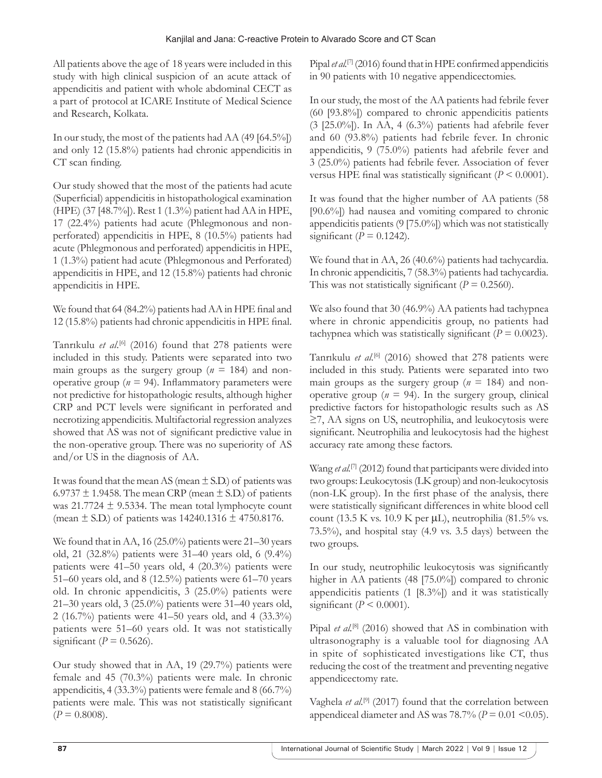All patients above the age of 18 years were included in this study with high clinical suspicion of an acute attack of appendicitis and patient with whole abdominal CECT as a part of protocol at ICARE Institute of Medical Science and Research, Kolkata.

In our study, the most of the patients had AA (49 [64.5%]) and only 12 (15.8%) patients had chronic appendicitis in CT scan finding.

Our study showed that the most of the patients had acute (Superficial) appendicitis in histopathological examination (HPE) (37 [48.7%]). Rest 1 (1.3%) patient had AA in HPE, 17 (22.4%) patients had acute (Phlegmonous and nonperforated) appendicitis in HPE, 8 (10.5%) patients had acute (Phlegmonous and perforated) appendicitis in HPE, 1 (1.3%) patient had acute (Phlegmonous and Perforated) appendicitis in HPE, and 12 (15.8%) patients had chronic appendicitis in HPE.

We found that 64 (84.2%) patients had AA in HPE final and 12 (15.8%) patients had chronic appendicitis in HPE final.

Tanrıkulu *et al*. [6] (2016) found that 278 patients were included in this study. Patients were separated into two main groups as the surgery group ( $n = 184$ ) and nonoperative group ( $n = 94$ ). Inflammatory parameters were not predictive for histopathologic results, although higher CRP and PCT levels were significant in perforated and necrotizing appendicitis. Multifactorial regression analyzes showed that AS was not of significant predictive value in the non-operative group. There was no superiority of AS and/or US in the diagnosis of AA.

It was found that the mean AS (mean  $\pm$  S.D.) of patients was 6.9737  $\pm$  1.9458. The mean CRP (mean  $\pm$  S.D.) of patients was  $21.7724 \pm 9.5334$ . The mean total lymphocyte count (mean  $\pm$  S.D.) of patients was 14240.1316  $\pm$  4750.8176.

We found that in AA, 16 (25.0%) patients were 21–30 years old, 21 (32.8%) patients were 31–40 years old, 6 (9.4%) patients were 41–50 years old, 4 (20.3%) patients were 51–60 years old, and 8 (12.5%) patients were 61–70 years old. In chronic appendicitis, 3 (25.0%) patients were 21–30 years old, 3 (25.0%) patients were 31–40 years old, 2 (16.7%) patients were 41–50 years old, and 4 (33.3%) patients were 51–60 years old. It was not statistically significant ( $P = 0.5626$ ).

Our study showed that in AA, 19 (29.7%) patients were female and 45 (70.3%) patients were male. In chronic appendicitis, 4 (33.3%) patients were female and 8 (66.7%) patients were male. This was not statistically significant  $(P = 0.8008)$ .

Pipal *et al.*<sup>[7]</sup> (2016) found that in HPE confirmed appendicitis in 90 patients with 10 negative appendicectomies.

In our study, the most of the AA patients had febrile fever (60 [93.8%]) compared to chronic appendicitis patients (3 [25.0%]). In AA, 4 (6.3%) patients had afebrile fever and 60 (93.8%) patients had febrile fever. In chronic appendicitis, 9 (75.0%) patients had afebrile fever and 3 (25.0%) patients had febrile fever. Association of fever versus HPE final was statistically significant (*P* < 0.0001).

It was found that the higher number of AA patients (58 [90.6%]) had nausea and vomiting compared to chronic appendicitis patients (9 [75.0%]) which was not statistically significant ( $P = 0.1242$ ).

We found that in AA, 26 (40.6%) patients had tachycardia. In chronic appendicitis, 7 (58.3%) patients had tachycardia. This was not statistically significant  $(P = 0.2560)$ .

We also found that 30 (46.9%) AA patients had tachypnea where in chronic appendicitis group, no patients had tachypnea which was statistically significant  $(P = 0.0023)$ .

Tanrıkulu et al.<sup>[6]</sup> (2016) showed that 278 patients were included in this study. Patients were separated into two main groups as the surgery group ( $n = 184$ ) and nonoperative group ( $n = 94$ ). In the surgery group, clinical predictive factors for histopathologic results such as AS ≥7, AA signs on US, neutrophilia, and leukocytosis were significant. Neutrophilia and leukocytosis had the highest accuracy rate among these factors.

Wang *et al.*<sup>[7]</sup> (2012) found that participants were divided into two groups: Leukocytosis (LK group) and non-leukocytosis (non-LK group). In the first phase of the analysis, there were statistically significant differences in white blood cell count (13.5 K vs. 10.9 K per  $\mu$ L), neutrophilia (81.5% vs. 73.5%), and hospital stay (4.9 vs. 3.5 days) between the two groups.

In our study, neutrophilic leukocytosis was significantly higher in AA patients (48 [75.0%]) compared to chronic appendicitis patients (1 [8.3%]) and it was statistically significant  $(P < 0.0001)$ .

Pipal *et al.*<sup>[8]</sup> (2016) showed that AS in combination with ultrasonography is a valuable tool for diagnosing AA in spite of sophisticated investigations like CT, thus reducing the cost of the treatment and preventing negative appendicectomy rate.

Vaghela *et al.*<sup>[9]</sup> (2017) found that the correlation between appendiceal diameter and AS was  $78.7\%$  ( $P = 0.01$  < 0.05).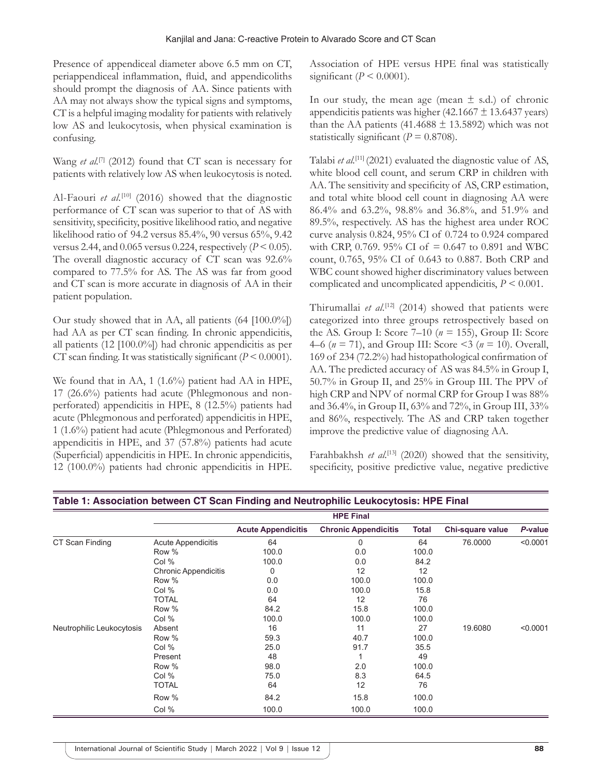Presence of appendiceal diameter above 6.5 mm on CT, periappendiceal inflammation, fluid, and appendicoliths should prompt the diagnosis of AA. Since patients with AA may not always show the typical signs and symptoms, CT is a helpful imaging modality for patients with relatively low AS and leukocytosis, when physical examination is confusing.

Wang *et al.*<sup>[7]</sup> (2012) found that CT scan is necessary for patients with relatively low AS when leukocytosis is noted.

Al-Faouri *et al.*<sup>[10]</sup> (2016) showed that the diagnostic performance of CT scan was superior to that of AS with sensitivity, specificity, positive likelihood ratio, and negative likelihood ratio of 94.2 versus 85.4%, 90 versus 65%, 9.42 versus 2.44, and 0.065 versus 0.224, respectively  $(P < 0.05)$ . The overall diagnostic accuracy of CT scan was 92.6% compared to 77.5% for AS. The AS was far from good and CT scan is more accurate in diagnosis of AA in their patient population.

Our study showed that in AA, all patients (64 [100.0%]) had AA as per CT scan finding. In chronic appendicitis, all patients (12 [100.0%]) had chronic appendicitis as per CT scan finding. It was statistically significant  $(P < 0.0001)$ .

We found that in AA, 1 (1.6%) patient had AA in HPE, 17 (26.6%) patients had acute (Phlegmonous and nonperforated) appendicitis in HPE, 8 (12.5%) patients had acute (Phlegmonous and perforated) appendicitis in HPE, 1 (1.6%) patient had acute (Phlegmonous and Perforated) appendicitis in HPE, and 37 (57.8%) patients had acute (Superficial) appendicitis in HPE. In chronic appendicitis, 12 (100.0%) patients had chronic appendicitis in HPE. Association of HPE versus HPE final was statistically significant ( $P \le 0.0001$ ).

In our study, the mean age (mean  $\pm$  s.d.) of chronic appendicitis patients was higher (42.1667  $\pm$  13.6437 years) than the AA patients (41.4688  $\pm$  13.5892) which was not statistically significant ( $P = 0.8708$ ).

Talabi *et al.*[11] (2021) evaluated the diagnostic value of AS, white blood cell count, and serum CRP in children with AA. The sensitivity and specificity of AS, CRP estimation, and total white blood cell count in diagnosing AA were 86.4% and 63.2%, 98.8% and 36.8%, and 51.9% and 89.5%, respectively. AS has the highest area under ROC curve analysis 0.824, 95% CI of 0.724 to 0.924 compared with CRP, 0.769. 95% CI of = 0.647 to 0.891 and WBC count, 0.765, 95% CI of 0.643 to 0.887. Both CRP and WBC count showed higher discriminatory values between complicated and uncomplicated appendicitis,  $P \leq 0.001$ .

Thirumallai et al.<sup>[12]</sup> (2014) showed that patients were categorized into three groups retrospectively based on the AS. Group I: Score 7–10 (*n* = 155), Group II: Score 4–6 (*n* = 71), and Group III: Score <3 (*n* = 10). Overall, 169 of 234 (72.2%) had histopathological confirmation of AA. The predicted accuracy of AS was 84.5% in Group I, 50.7% in Group II, and 25% in Group III. The PPV of high CRP and NPV of normal CRP for Group I was 88% and 36.4%, in Group II, 63% and 72%, in Group III, 33% and 86%, respectively. The AS and CRP taken together improve the predictive value of diagnosing AA.

Farahbakhsh *et al.*<sup>[13]</sup> (2020) showed that the sensitivity, specificity, positive predictive value, negative predictive

|                           | <b>HPE Final</b>            |                           |                             |       |                  |          |
|---------------------------|-----------------------------|---------------------------|-----------------------------|-------|------------------|----------|
|                           |                             | <b>Acute Appendicitis</b> | <b>Chronic Appendicitis</b> | Total | Chi-square value | P-value  |
| CT Scan Finding           | Acute Appendicitis          | 64                        | 0                           | 64    | 76.0000          | < 0.0001 |
|                           | Row %                       | 100.0                     | 0.0                         | 100.0 |                  |          |
|                           | Col %                       | 100.0                     | 0.0                         | 84.2  |                  |          |
|                           | <b>Chronic Appendicitis</b> | 0                         | 12                          | 12    |                  |          |
|                           | Row %                       | 0.0                       | 100.0                       | 100.0 |                  |          |
|                           | Col %                       | 0.0                       | 100.0                       | 15.8  |                  |          |
|                           | <b>TOTAL</b>                | 64                        | 12                          | 76    |                  |          |
|                           | Row %                       | 84.2                      | 15.8                        | 100.0 |                  |          |
|                           | Col %                       | 100.0                     | 100.0                       | 100.0 |                  |          |
| Neutrophilic Leukocytosis | Absent                      | 16                        | 11                          | 27    | 19.6080          | < 0.0001 |
|                           | Row %                       | 59.3                      | 40.7                        | 100.0 |                  |          |
|                           | Col %                       | 25.0                      | 91.7                        | 35.5  |                  |          |
|                           | Present                     | 48                        |                             | 49    |                  |          |
|                           | Row %                       | 98.0                      | 2.0                         | 100.0 |                  |          |
|                           | Col %                       | 75.0                      | 8.3                         | 64.5  |                  |          |
|                           | <b>TOTAL</b>                | 64                        | 12                          | 76    |                  |          |
|                           | Row %                       | 84.2                      | 15.8                        | 100.0 |                  |          |
|                           | Col %                       | 100.0                     | 100.0                       | 100.0 |                  |          |

## **Table 1: Association between CT Scan Finding and Neutrophilic Leukocytosis: HPE Final**